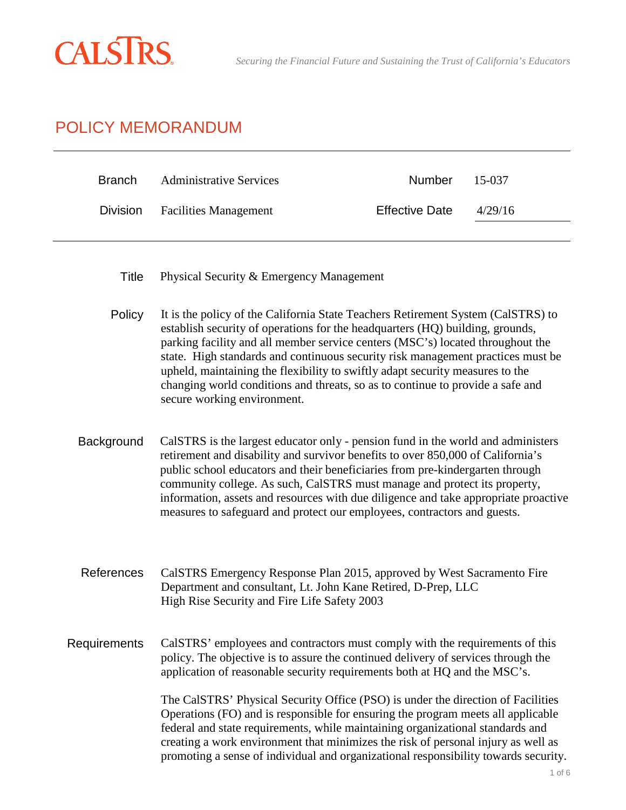

# POLICY MEMORANDUM

| <b>Branch</b>   | <b>Administrative Services</b>                                                                                                                                                                                                                                                                                                                                                                                                                                                                                                           | Number                | 15-037  |
|-----------------|------------------------------------------------------------------------------------------------------------------------------------------------------------------------------------------------------------------------------------------------------------------------------------------------------------------------------------------------------------------------------------------------------------------------------------------------------------------------------------------------------------------------------------------|-----------------------|---------|
| <b>Division</b> | <b>Facilities Management</b>                                                                                                                                                                                                                                                                                                                                                                                                                                                                                                             | <b>Effective Date</b> | 4/29/16 |
|                 |                                                                                                                                                                                                                                                                                                                                                                                                                                                                                                                                          |                       |         |
| <b>Title</b>    | Physical Security & Emergency Management                                                                                                                                                                                                                                                                                                                                                                                                                                                                                                 |                       |         |
| Policy          | It is the policy of the California State Teachers Retirement System (CalSTRS) to<br>establish security of operations for the headquarters (HQ) building, grounds,<br>parking facility and all member service centers (MSC's) located throughout the<br>state. High standards and continuous security risk management practices must be<br>upheld, maintaining the flexibility to swiftly adapt security measures to the<br>changing world conditions and threats, so as to continue to provide a safe and<br>secure working environment. |                       |         |
| Background      | CalSTRS is the largest educator only - pension fund in the world and administers<br>retirement and disability and survivor benefits to over 850,000 of California's<br>public school educators and their beneficiaries from pre-kindergarten through<br>community college. As such, CalSTRS must manage and protect its property,<br>information, assets and resources with due diligence and take appropriate proactive<br>measures to safeguard and protect our employees, contractors and guests.                                     |                       |         |
| References      | CalSTRS Emergency Response Plan 2015, approved by West Sacramento Fire<br>Department and consultant, Lt. John Kane Retired, D-Prep, LLC<br>High Rise Security and Fire Life Safety 2003                                                                                                                                                                                                                                                                                                                                                  |                       |         |
| Requirements    | CalSTRS' employees and contractors must comply with the requirements of this<br>policy. The objective is to assure the continued delivery of services through the<br>application of reasonable security requirements both at HQ and the MSC's.                                                                                                                                                                                                                                                                                           |                       |         |
|                 | The CalSTRS' Physical Security Office (PSO) is under the direction of Facilities<br>Operations (FO) and is responsible for ensuring the program meets all applicable<br>federal and state requirements, while maintaining organizational standards and<br>creating a work environment that minimizes the risk of personal injury as well as<br>promoting a sense of individual and organizational responsibility towards security.                                                                                                       |                       |         |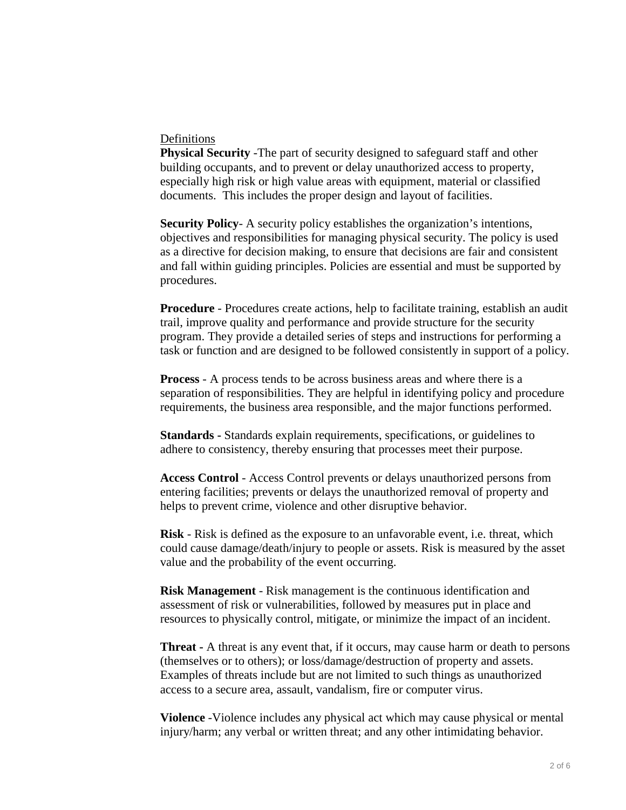#### Definitions

**Physical Security** -The part of security designed to safeguard staff and other building occupants, and to prevent or delay unauthorized access to property, especially high risk or high value areas with equipment, material or classified documents. This includes the proper design and layout of facilities.

**Security Policy**- A security policy establishes the organization's intentions, objectives and responsibilities for managing physical security. The policy is used as a directive for decision making, to ensure that decisions are fair and consistent and fall within guiding principles. Policies are essential and must be supported by procedures.

**Procedure** - Procedures create actions, help to facilitate training, establish an audit trail, improve quality and performance and provide structure for the security program. They provide a detailed series of steps and instructions for performing a task or function and are designed to be followed consistently in support of a policy.

**Process** - A process tends to be across business areas and where there is a separation of responsibilities. They are helpful in identifying policy and procedure requirements, the business area responsible, and the major functions performed.

**Standards -** Standards explain requirements, specifications, or guidelines to adhere to consistency, thereby ensuring that processes meet their purpose.

**Access Control** - Access Control prevents or delays unauthorized persons from entering facilities; prevents or delays the unauthorized removal of property and helps to prevent crime, violence and other disruptive behavior.

**Risk** - Risk is defined as the exposure to an unfavorable event, i.e. threat, which could cause damage/death/injury to people or assets. Risk is measured by the asset value and the probability of the event occurring.

**Risk Management** - Risk management is the continuous identification and assessment of risk or vulnerabilities, followed by measures put in place and resources to physically control, mitigate, or minimize the impact of an incident.

**Threat -** A threat is any event that, if it occurs, may cause harm or death to persons (themselves or to others); or loss/damage/destruction of property and assets. Examples of threats include but are not limited to such things as unauthorized access to a secure area, assault, vandalism, fire or computer virus.

**Violence** -Violence includes any physical act which may cause physical or mental injury/harm; any verbal or written threat; and any other intimidating behavior.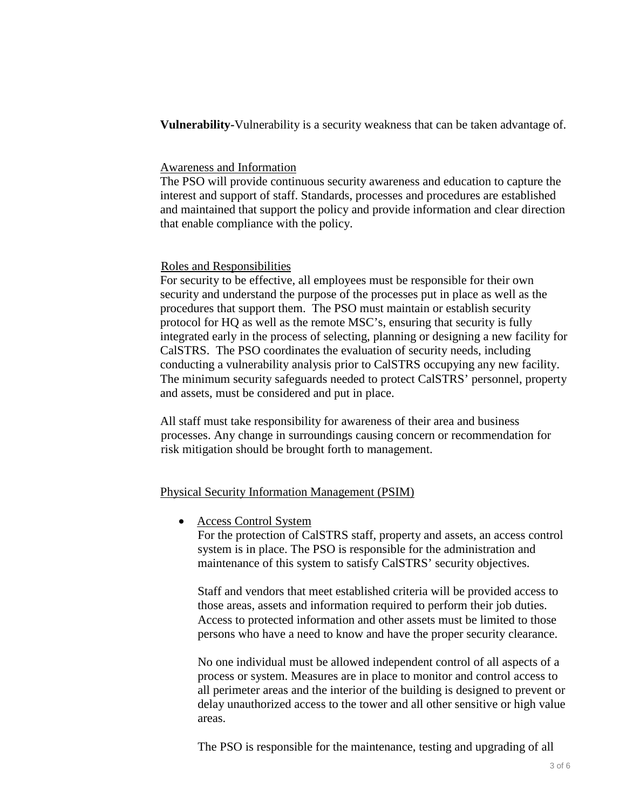**Vulnerability-**Vulnerability is a security weakness that can be taken advantage of.

## Awareness and Information

The PSO will provide continuous security awareness and education to capture the interest and support of staff. Standards, processes and procedures are established and maintained that support the policy and provide information and clear direction that enable compliance with the policy.

## Roles and Responsibilities

For security to be effective, all employees must be responsible for their own security and understand the purpose of the processes put in place as well as the procedures that support them. The PSO must maintain or establish security protocol for HQ as well as the remote MSC's, ensuring that security is fully integrated early in the process of selecting, planning or designing a new facility for CalSTRS. The PSO coordinates the evaluation of security needs, including conducting a vulnerability analysis prior to CalSTRS occupying any new facility. The minimum security safeguards needed to protect CalSTRS' personnel, property and assets, must be considered and put in place.

All staff must take responsibility for awareness of their area and business processes. Any change in surroundings causing concern or recommendation for risk mitigation should be brought forth to management.

# Physical Security Information Management (PSIM)

• Access Control System

For the protection of CalSTRS staff, property and assets, an access control system is in place. The PSO is responsible for the administration and maintenance of this system to satisfy CalSTRS' security objectives.

Staff and vendors that meet established criteria will be provided access to those areas, assets and information required to perform their job duties. Access to protected information and other assets must be limited to those persons who have a need to know and have the proper security clearance.

No one individual must be allowed independent control of all aspects of a process or system. Measures are in place to monitor and control access to all perimeter areas and the interior of the building is designed to prevent or delay unauthorized access to the tower and all other sensitive or high value areas.

The PSO is responsible for the maintenance, testing and upgrading of all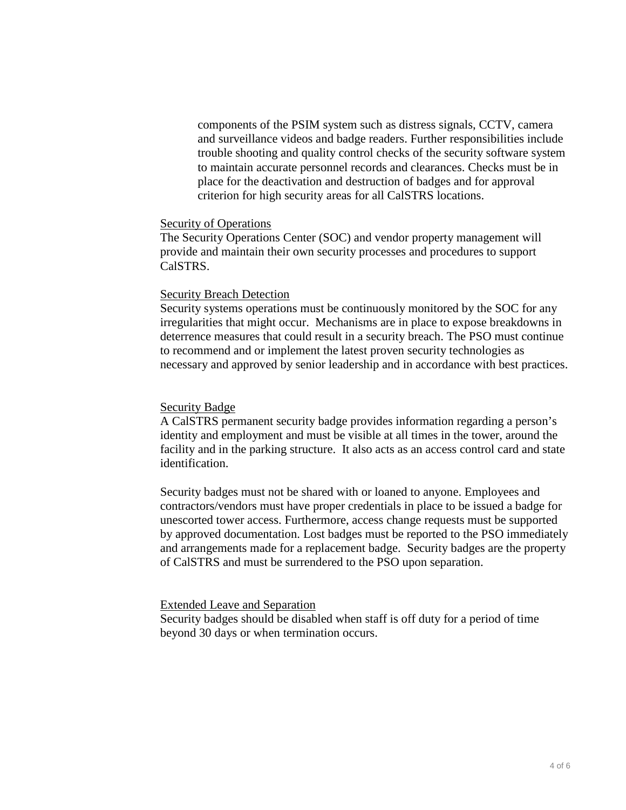components of the PSIM system such as distress signals, CCTV, camera and surveillance videos and badge readers. Further responsibilities include trouble shooting and quality control checks of the security software system to maintain accurate personnel records and clearances. Checks must be in place for the deactivation and destruction of badges and for approval criterion for high security areas for all CalSTRS locations.

#### Security of Operations

The Security Operations Center (SOC) and vendor property management will provide and maintain their own security processes and procedures to support CalSTRS.

#### Security Breach Detection

Security systems operations must be continuously monitored by the SOC for any irregularities that might occur. Mechanisms are in place to expose breakdowns in deterrence measures that could result in a security breach. The PSO must continue to recommend and or implement the latest proven security technologies as necessary and approved by senior leadership and in accordance with best practices.

#### Security Badge

A CalSTRS permanent security badge provides information regarding a person's identity and employment and must be visible at all times in the tower, around the facility and in the parking structure. It also acts as an access control card and state identification.

Security badges must not be shared with or loaned to anyone. Employees and contractors/vendors must have proper credentials in place to be issued a badge for unescorted tower access. Furthermore, access change requests must be supported by approved documentation. Lost badges must be reported to the PSO immediately and arrangements made for a replacement badge. Security badges are the property of CalSTRS and must be surrendered to the PSO upon separation.

## Extended Leave and Separation

Security badges should be disabled when staff is off duty for a period of time beyond 30 days or when termination occurs.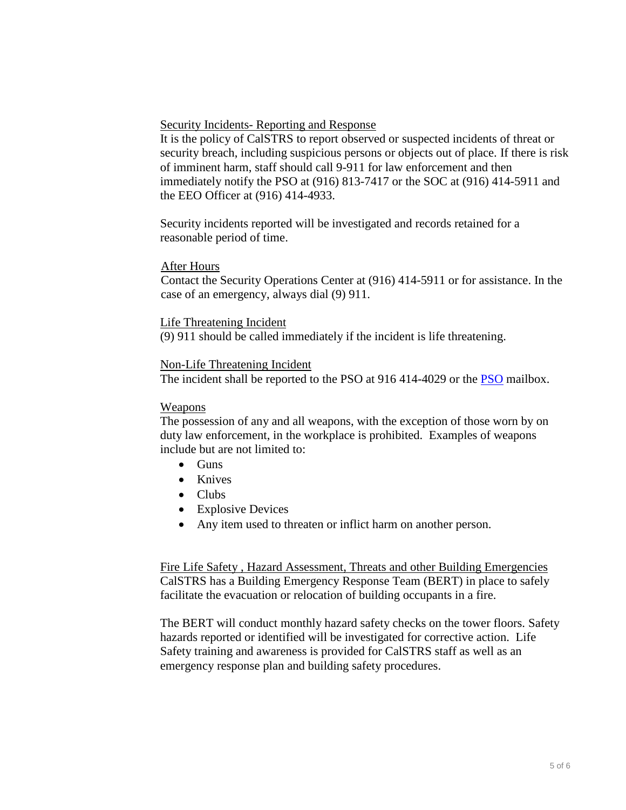Security Incidents- Reporting and Response

It is the policy of CalSTRS to report observed or suspected incidents of threat or security breach, including suspicious persons or objects out of place. If there is risk of imminent harm, staff should call 9-911 for law enforcement and then immediately notify the PSO at (916) 813-7417 or the SOC at (916) 414-5911 and the EEO Officer at (916) 414-4933.

Security incidents reported will be investigated and records retained for a reasonable period of time.

## After Hours

Contact the Security Operations Center at (916) 414-5911 or for assistance. In the case of an emergency, always dial (9) 911.

## Life Threatening Incident

(9) 911 should be called immediately if the incident is life threatening.

## Non-Life Threatening Incident

The incident shall be reported to the [PSO](mailto:pso@calstrs.com) at 916 414-4029 or the PSO mailbox.

#### Weapons

The possession of any and all weapons, with the exception of those worn by on duty law enforcement, in the workplace is prohibited. Examples of weapons include but are not limited to:

- Guns
- Knives
- Clubs
- Explosive Devices
- Any item used to threaten or inflict harm on another person.

Fire Life Safety, Hazard Assessment, Threats and other Building Emergencies CalSTRS has a Building Emergency Response Team (BERT) in place to safely facilitate the evacuation or relocation of building occupants in a fire.

The BERT will conduct monthly hazard safety checks on the tower floors. Safety hazards reported or identified will be investigated for corrective action. Life Safety training and awareness is provided for CalSTRS staff as well as an emergency response plan and building safety procedures.